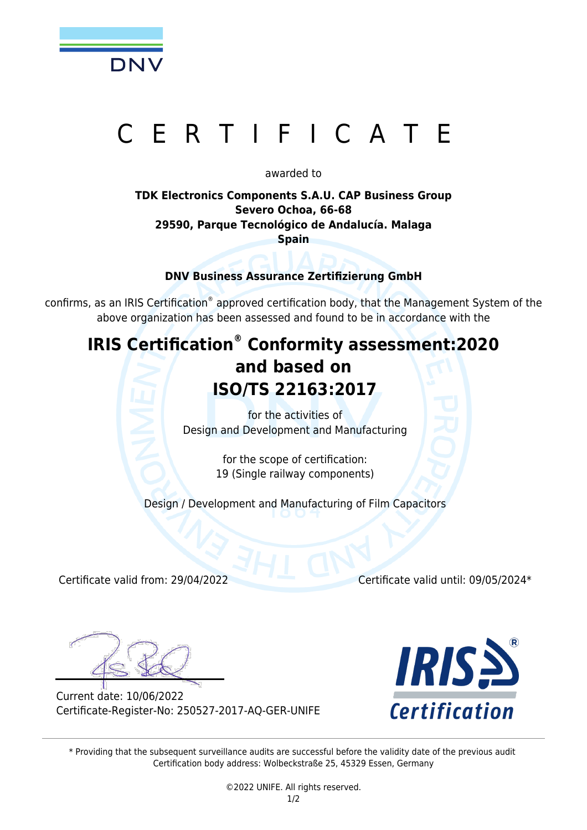

# ERTIFICATE

#### awarded to

### **TDK Electronics Components S.A.U. CAP Business Group Severo Ochoa, 66-68 29590, Parque Tecnológico de Andalucía. Malaga Spain**

**DNV Business Assurance Zertifizierung GmbH**

confirms, as an IRIS Certification® approved certification body, that the Management System of the above organization has been assessed and found to be in accordance with the

## **IRIS Certification® Conformity assessment:2020 and based on ISO/TS 22163:2017**

for the activities of Design and Development and Manufacturing

> for the scope of certification: 19 (Single railway components)

Design / Development and Manufacturing of Film Capacitors

Certificate valid from: 29/04/2022 Certificate valid until: 09/05/2024\*

Current date: 10/06/2022 Certificate-Register-No: 250527-2017-AQ-GER-UNIFE



\* Providing that the subsequent surveillance audits are successful before the validity date of the previous audit Certification body address: Wolbeckstraße 25, 45329 Essen, Germany